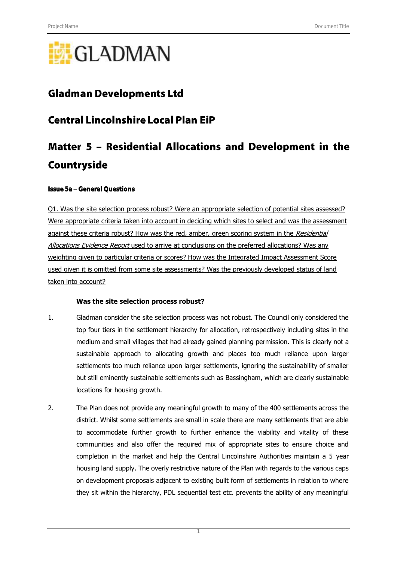# **GLADMAN**

## **Gladman Developments Ltd**

## **Central Lincolnshire Local Plan EiP**

## Matter 5 - Residential Allocations and Development in the Countryside

#### Issue 5a General Questions

Q1. Was the site selection process robust? Were an appropriate selection of potential sites assessed? Were appropriate criteria taken into account in deciding which sites to select and was the assessment against these criteria robust? How was the red, amber, green scoring system in the Residential Allocations Evidence Report used to arrive at conclusions on the preferred allocations? Was any weighting given to particular criteria or scores? How was the Integrated Impact Assessment Score used given it is omitted from some site assessments? Was the previously developed status of land taken into account?

#### **Was the site selection process robust?**

- 1. Gladman consider the site selection process was not robust. The Council only considered the top four tiers in the settlement hierarchy for allocation, retrospectively including sites in the medium and small villages that had already gained planning permission. This is clearly not a sustainable approach to allocating growth and places too much reliance upon larger settlements too much reliance upon larger settlements, ignoring the sustainability of smaller but still eminently sustainable settlements such as Bassingham, which are clearly sustainable locations for housing growth.
- 2. The Plan does not provide any meaningful growth to many of the 400 settlements across the district. Whilst some settlements are small in scale there are many settlements that are able to accommodate further growth to further enhance the viability and vitality of these communities and also offer the required mix of appropriate sites to ensure choice and completion in the market and help the Central Lincolnshire Authorities maintain a 5 year housing land supply. The overly restrictive nature of the Plan with regards to the various caps on development proposals adjacent to existing built form of settlements in relation to where they sit within the hierarchy, PDL sequential test etc. prevents the ability of any meaningful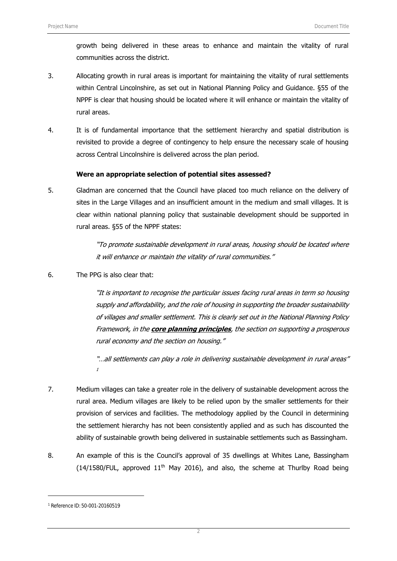growth being delivered in these areas to enhance and maintain the vitality of rural communities across the district.

- 3. Allocating growth in rural areas is important for maintaining the vitality of rural settlements within Central Lincolnshire, as set out in National Planning Policy and Guidance. §55 of the NPPF is clear that housing should be located where it will enhance or maintain the vitality of rural areas.
- 4. It is of fundamental importance that the settlement hierarchy and spatial distribution is revisited to provide a degree of contingency to help ensure the necessary scale of housing across Central Lincolnshire is delivered across the plan period.

#### **Were an appropriate selection of potential sites assessed?**

5. Gladman are concerned that the Council have placed too much reliance on the delivery of sites in the Large Villages and an insufficient amount in the medium and small villages. It is clear within national planning policy that sustainable development should be supported in rural areas. §55 of the NPPF states:

> "To promote sustainable development in rural areas, housing should be located where it will enhance or maintain the vitality of rural communities."

6. The PPG is also clear that:

"It is important to recognise the particular issues facing rural areas in term so housing supply and affordability, and the role of housing in supporting the broader sustainability of villages and smaller settlement. This is clearly set out in the National Planning Policy Framework, in the **core planning principles**, the section on supporting a prosperous rural economy and the section on housing."

"...all settlements can play a role in delivering sustainable development in rural areas" 1

- 7. Medium villages can take a greater role in the delivery of sustainable development across the rural area. Medium villages are likely to be relied upon by the smaller settlements for their provision of services and facilities. The methodology applied by the Council in determining the settlement hierarchy has not been consistently applied and as such has discounted the ability of sustainable growth being delivered in sustainable settlements such as Bassingham.
- 8. An example of this is the Council's approval of 35 dwellings at Whites Lane, Bassingham  $(14/1580$ /FUL, approved  $11<sup>th</sup>$  May 2016), and also, the scheme at Thurlby Road being

1

<sup>1</sup> Reference ID: 50-001-20160519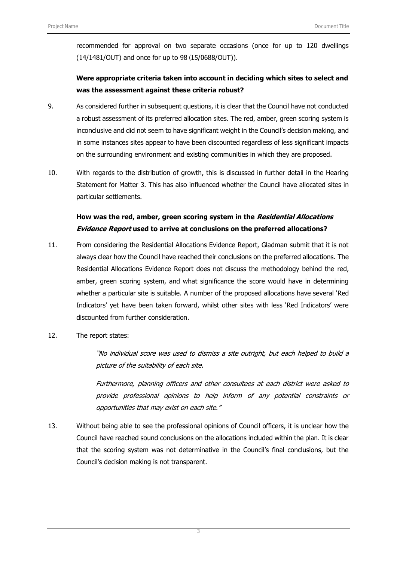recommended for approval on two separate occasions (once for up to 120 dwellings (14/1481/OUT) and once for up to 98 (15/0688/OUT)).

## **Were appropriate criteria taken into account in deciding which sites to select and was the assessment against these criteria robust?**

- 9. As considered further in subsequent questions, it is clear that the Council have not conducted a robust assessment of its preferred allocation sites. The red, amber, green scoring system is inconclusive and did not seem to have significant weight in the Council's decision making, and in some instances sites appear to have been discounted regardless of less significant impacts on the surrounding environment and existing communities in which they are proposed.
- 10. With regards to the distribution of growth, this is discussed in further detail in the Hearing Statement for Matter 3. This has also influenced whether the Council have allocated sites in particular settlements.

## **How was the red, amber, green scoring system in the Residential Allocations Evidence Report used to arrive at conclusions on the preferred allocations?**

- 11. From considering the Residential Allocations Evidence Report, Gladman submit that it is not always clear how the Council have reached their conclusions on the preferred allocations. The Residential Allocations Evidence Report does not discuss the methodology behind the red, amber, green scoring system, and what significance the score would have in determining whether a particular site is suitable. A number of the proposed allocations have several 'Red Indicators' yet have been taken forward, whilst other sites with less 'Red Indicators' were discounted from further consideration.
- 12. The report states:

"No individual score was used to dismiss a site outright, but each helped to build a picture of the suitability of each site.

Furthermore, planning officers and other consultees at each district were asked to provide professional opinions to help inform of any potential constraints or opportunities that may exist on each site."

13. Without being able to see the professional opinions of Council officers, it is unclear how the Council have reached sound conclusions on the allocations included within the plan. It is clear that the scoring system was not determinative in the Council's final conclusions, but the Council's decision making is not transparent.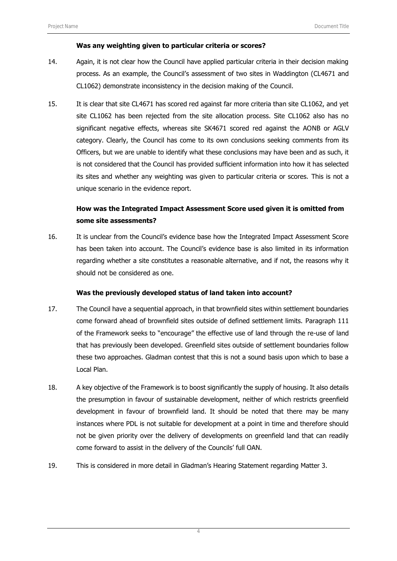#### **Was any weighting given to particular criteria or scores?**

- 14. Again, it is not clear how the Council have applied particular criteria in their decision making process. As an example, the Council's assessment of two sites in Waddington (CL4671 and CL1062) demonstrate inconsistency in the decision making of the Council.
- 15. It is clear that site CL4671 has scored red against far more criteria than site CL1062, and yet site CL1062 has been rejected from the site allocation process. Site CL1062 also has no significant negative effects, whereas site SK4671 scored red against the AONB or AGLV category. Clearly, the Council has come to its own conclusions seeking comments from its Officers, but we are unable to identify what these conclusions may have been and as such, it is not considered that the Council has provided sufficient information into how it has selected its sites and whether any weighting was given to particular criteria or scores. This is not a unique scenario in the evidence report.

#### **How was the Integrated Impact Assessment Score used given it is omitted from some site assessments?**

16. It is unclear from the Council's evidence base how the Integrated Impact Assessment Score has been taken into account. The Council's evidence base is also limited in its information regarding whether a site constitutes a reasonable alternative, and if not, the reasons why it should not be considered as one.

#### **Was the previously developed status of land taken into account?**

- 17. The Council have a sequential approach, in that brownfield sites within settlement boundaries come forward ahead of brownfield sites outside of defined settlement limits. Paragraph 111 of the Framework seeks to "encourage" the effective use of land through the re-use of land that has previously been developed. Greenfield sites outside of settlement boundaries follow these two approaches. Gladman contest that this is not a sound basis upon which to base a Local Plan.
- 18. A key objective of the Framework is to boost significantly the supply of housing. It also details the presumption in favour of sustainable development, neither of which restricts greenfield development in favour of brownfield land. It should be noted that there may be many instances where PDL is not suitable for development at a point in time and therefore should not be given priority over the delivery of developments on greenfield land that can readily come forward to assist in the delivery of the Councils' full OAN.
- 19. This is considered in more detail in Gladman's Hearing Statement regarding Matter 3.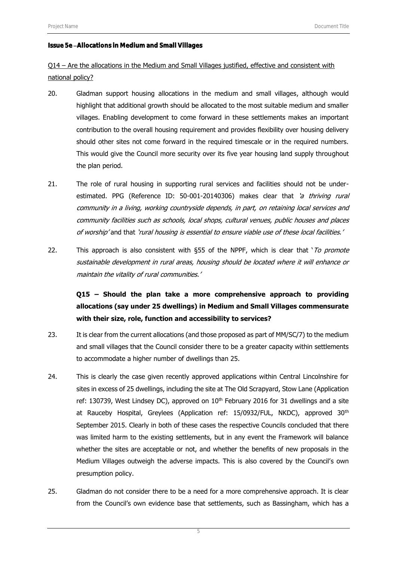#### Issue 5e Allocations in Medium and Small Villages

Q14 – Are the allocations in the Medium and Small Villages justified, effective and consistent with national policy?

- 20. Gladman support housing allocations in the medium and small villages, although would highlight that additional growth should be allocated to the most suitable medium and smaller villages. Enabling development to come forward in these settlements makes an important contribution to the overall housing requirement and provides flexibility over housing delivery should other sites not come forward in the required timescale or in the required numbers. This would give the Council more security over its five year housing land supply throughout the plan period.
- 21. The role of rural housing in supporting rural services and facilities should not be underestimated. PPG (Reference ID: 50-001-20140306) makes clear that 'a thriving rural community in a living, working countryside depends, in part, on retaining local services and community facilities such as schools, local shops, cultural venues, public houses and places of worship' and that 'rural housing is essential to ensure viable use of these local facilities.'
- 22. This approach is also consistent with §55 of the NPPF, which is clear that ' $To$  promote sustainable development in rural areas, housing should be located where it will enhance or maintain the vitality of rural communities.'

## **Q15 – Should the plan take a more comprehensive approach to providing allocations (say under 25 dwellings) in Medium and Small Villages commensurate with their size, role, function and accessibility to services?**

- 23. It is clear from the current allocations (and those proposed as part of MM/SC/7) to the medium and small villages that the Council consider there to be a greater capacity within settlements to accommodate a higher number of dwellings than 25.
- 24. This is clearly the case given recently approved applications within Central Lincolnshire for sites in excess of 25 dwellings, including the site at The Old Scrapyard, Stow Lane (Application ref: 130739, West Lindsey DC), approved on 10<sup>th</sup> February 2016 for 31 dwellings and a site at Rauceby Hospital, Greylees (Application ref: 15/0932/FUL, NKDC), approved 30<sup>th</sup> September 2015. Clearly in both of these cases the respective Councils concluded that there was limited harm to the existing settlements, but in any event the Framework will balance whether the sites are acceptable or not, and whether the benefits of new proposals in the Medium Villages outweigh the adverse impacts. This is also covered by the Council's own presumption policy.
- 25. Gladman do not consider there to be a need for a more comprehensive approach. It is clear from the Council's own evidence base that settlements, such as Bassingham, which has a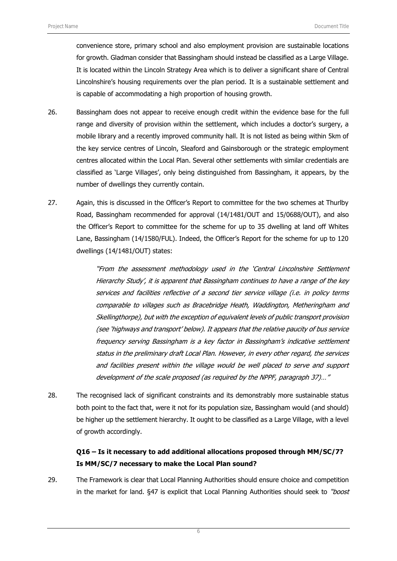convenience store, primary school and also employment provision are sustainable locations for growth. Gladman consider that Bassingham should instead be classified as a Large Village. It is located within the Lincoln Strategy Area which is to deliver a significant share of Central Lincolnshire's housing requirements over the plan period. It is a sustainable settlement and is capable of accommodating a high proportion of housing growth.

- 26. Bassingham does not appear to receive enough credit within the evidence base for the full range and diversity of provision within the settlement, which includes a doctor's surgery, a mobile library and a recently improved community hall. It is not listed as being within 5km of the key service centres of Lincoln, Sleaford and Gainsborough or the strategic employment centres allocated within the Local Plan. Several other settlements with similar credentials are classified as 'Large Villages', only being distinguished from Bassingham, it appears, by the number of dwellings they currently contain.
- 27. Again, this is discussed in the Officer's Report to committee for the two schemes at Thurlby Road, Bassingham recommended for approval (14/1481/OUT and 15/0688/OUT), and also the Officer's Report to committee for the scheme for up to 35 dwelling at land off Whites Lane, Bassingham (14/1580/FUL). Indeed, the Officer's Report for the scheme for up to 120 dwellings (14/1481/OUT) states:

"From the assessment methodology used in the 'Central Lincolnshire Settlement Hierarchy Study', it is apparent that Bassingham continues to have a range of the key services and facilities reflective of a second tier service village (i.e. in policy terms comparable to villages such as Bracebridge Heath, Waddington, Metheringham and Skellingthorpe), but with the exception of equivalent levels of public transport provision (see 'highways and transport' below). It appears that the relative paucity of bus service frequency serving Bassingham is a key factor in Bassingham's indicative settlement status in the preliminary draft Local Plan. However, in every other regard, the services and facilities present within the village would be well placed to serve and support development of the scale proposed (as required by the NPPF, paragraph 37)…"

28. The recognised lack of significant constraints and its demonstrably more sustainable status both point to the fact that, were it not for its population size, Bassingham would (and should) be higher up the settlement hierarchy. It ought to be classified as a Large Village, with a level of growth accordingly.

### **Q16 – Is it necessary to add additional allocations proposed through MM/SC/7? Is MM/SC/7 necessary to make the Local Plan sound?**

29. The Framework is clear that Local Planning Authorities should ensure choice and competition in the market for land. §47 is explicit that Local Planning Authorities should seek to "boost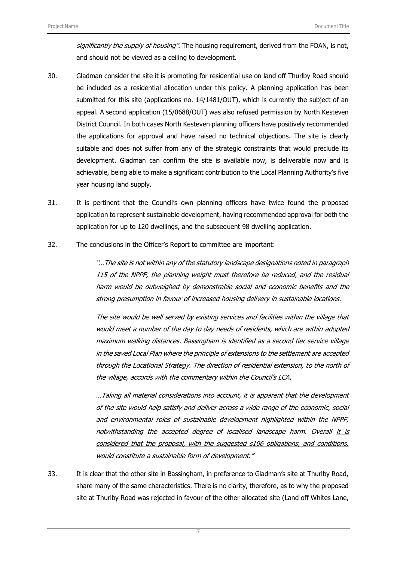significantly the supply of housing". The housing requirement, derived from the FOAN, is not, and should not be viewed as a ceiling to development.

- 30. Gladman consider the site it is promoting for residential use on land off Thurlby Road should be included as a residential allocation under this policy. A planning application has been submitted for this site (applications no. 14/1481/OUT), which is currently the subject of an appeal. A second application (15/0688/OUT) was also refused permission by North Kesteven District Council. In both cases North Kesteven planning officers have positively recommended the applications for approval and have raised no technical objections. The site is clearly suitable and does not suffer from any of the strategic constraints that would preclude its development. Gladman can confirm the site is available now, is deliverable now and is achievable, being able to make a significant contribution to the Local Planning Authority's five year housing land supply.
- 31. It is pertinent that the Council's own planning officers have twice found the proposed application to represent sustainable development, having recommended approval for both the application for up to 120 dwellings, and the subsequent 98 dwelling application.
- 32. The conclusions in the Officer's Report to committee are important:

"…The site is not within any of the statutory landscape designations noted in paragraph 115 of the NPPF, the planning weight must therefore be reduced, and the residual harm would be outweighed by demonstrable social and economic benefits and the strong presumption in favour of increased housing delivery in sustainable locations.

The site would be well served by existing services and facilities within the village that would meet a number of the day to day needs of residents, which are within adopted maximum walking distances. Bassingham is identified as a second tier service village in the saved Local Plan where the principle of extensions to the settlement are accepted through the Locational Strategy. The direction of residential extension, to the north of the village, accords with the commentary within the Council's LCA.

…Taking all material considerations into account, it is apparent that the development of the site would help satisfy and deliver across a wide range of the economic, social and environmental roles of sustainable development highlighted within the NPPF, notwithstanding the accepted degree of localised landscape harm. Overall it is considered that the proposal, with the suggested s106 obligations, and conditions, would constitute a sustainable form of development."

33. It is clear that the other site in Bassingham, in preference to Gladman's site at Thurlby Road, share many of the same characteristics. There is no clarity, therefore, as to why the proposed site at Thurlby Road was rejected in favour of the other allocated site (Land off Whites Lane,

7